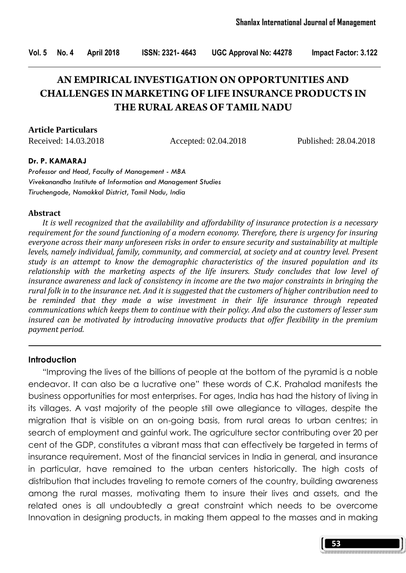# **AN EMPIRICAL INVESTIGATION ON OPPORTUNITIES AND CHALLENGES IN MARKETING OF LIFE INSURANCE PRODUCTS IN THE RURAL AREAS OF TAMIL NADU**

**Article Particulars**

Received: 14.03.2018 Accepted: 02.04.2018 Published: 28.04.2018

#### Dr. P. KAMARAJ

Professor and Head, Faculty of Management - MBA Vivekanandha Institute of Information and Management Studies Tiruchengode, Namakkal District, Tamil Nadu, India

#### Abstract

 It is well recognized that the availability and affordability of insurance protection is a necessary requirement for the sound functioning of a modern economy. Therefore, there is urgency for insuring everyone across their many unforeseen risks in order to ensure security and sustainability at multiple levels, namely individual, family, community, and commercial, at society and at country level. Present study is an attempt to know the demographic characteristics of the insured population and its relationship with the marketing aspects of the life insurers. Study concludes that low level of insurance awareness and lack of consistency in income are the two major constraints in bringing the rural folk in to the insurance net. And it is suggested that the customers of higher contribution need to be reminded that they made a wise investment in their life insurance through repeated communications which keeps them to continue with their policy. And also the customers of lesser sum insured can be motivated by introducing innovative products that offer flexibility in the premium payment period.

#### Introduction

 "Improving the lives of the billions of people at the bottom of the pyramid is a noble endeavor. It can also be a lucrative one" these words of C.K. Prahalad manifests the business opportunities for most enterprises. For ages, India has had the history of living in its villages. A vast majority of the people still owe allegiance to villages, despite the migration that is visible on an on-going basis, from rural areas to urban centres; in search of employment and gainful work. The agriculture sector contributing over 20 per cent of the GDP, constitutes a vibrant mass that can effectively be targeted in terms of insurance requirement. Most of the financial services in India in general, and insurance in particular, have remained to the urban centers historically. The high costs of distribution that includes traveling to remote corners of the country, building awareness among the rural masses, motivating them to insure their lives and assets, and the related ones is all undoubtedly a great constraint which needs to be overcome Innovation in designing products, in making them appeal to the masses and in making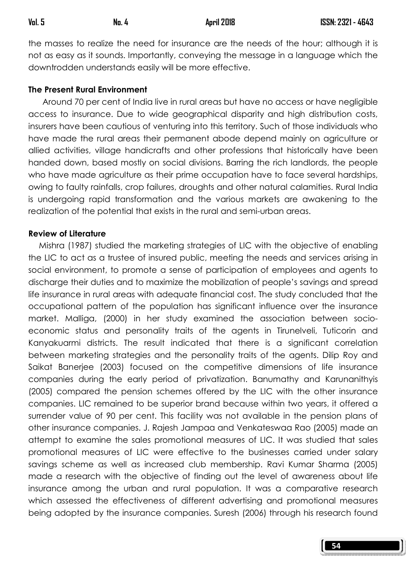the masses to realize the need for insurance are the needs of the hour; although it is not as easy as it sounds. Importantly, conveying the message in a language which the downtrodden understands easily will be more effective.

#### The Present Rural Environment

 Around 70 per cent of India live in rural areas but have no access or have negligible access to insurance. Due to wide geographical disparity and high distribution costs, insurers have been cautious of venturing into this territory. Such of those individuals who have made the rural areas their permanent abode depend mainly on agriculture or allied activities, village handicrafts and other professions that historically have been handed down, based mostly on social divisions. Barring the rich landlords, the people who have made agriculture as their prime occupation have to face several hardships, owing to faulty rainfalls, crop failures, droughts and other natural calamities. Rural India is undergoing rapid transformation and the various markets are awakening to the realization of the potential that exists in the rural and semi-urban areas.

#### Review of Literature

 Mishra (1987) studied the marketing strategies of LIC with the objective of enabling the LIC to act as a trustee of insured public, meeting the needs and services arising in social environment, to promote a sense of participation of employees and agents to discharge their duties and to maximize the mobilization of people's savings and spread life insurance in rural areas with adequate financial cost. The study concluded that the occupational pattern of the population has significant influence over the insurance market. Malliga, (2000) in her study examined the association between socioeconomic status and personality traits of the agents in Tirunelveli, Tuticorin and Kanyakuarmi districts. The result indicated that there is a significant correlation between marketing strategies and the personality traits of the agents. Dilip Roy and Saikat Banerjee (2003) focused on the competitive dimensions of life insurance companies during the early period of privatization. Banumathy and Karunanithyis (2005) compared the pension schemes offered by the LIC with the other insurance companies. LIC remained to be superior brand because within two years, it offered a surrender value of 90 per cent. This facility was not available in the pension plans of other insurance companies. J. Rajesh Jampaa and Venkateswaa Rao (2005) made an attempt to examine the sales promotional measures of LIC. It was studied that sales promotional measures of LIC were effective to the businesses carried under salary savings scheme as well as increased club membership. Ravi Kumar Sharma (2005) made a research with the objective of finding out the level of awareness about life insurance among the urban and rural population. It was a comparative research which assessed the effectiveness of different advertising and promotional measures being adopted by the insurance companies. Suresh (2006) through his research found

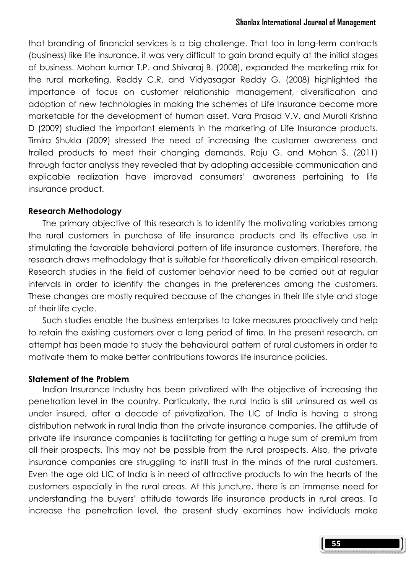that branding of financial services is a big challenge. That too in long-term contracts (business) like life insurance, it was very difficult to gain brand equity at the initial stages of business. Mohan kumar T.P. and Shivaraj B. (2008), expanded the marketing mix for the rural marketing. Reddy C.R. and Vidyasagar Reddy G. (2008) highlighted the importance of focus on customer relationship management, diversification and adoption of new technologies in making the schemes of Life Insurance become more marketable for the development of human asset. Vara Prasad V.V. and Murali Krishna D (2009) studied the important elements in the marketing of Life Insurance products. Timira Shukla (2009) stressed the need of increasing the customer awareness and trailed products to meet their changing demands. Raju G. and Mohan S. (2011) through factor analysis they revealed that by adopting accessible communication and explicable realization have improved consumers' awareness pertaining to life insurance product.

#### Research Methodology

 The primary objective of this research is to identify the motivating variables among the rural customers in purchase of life insurance products and its effective use in stimulating the favorable behavioral pattern of life insurance customers. Therefore, the research draws methodology that is suitable for theoretically driven empirical research. Research studies in the field of customer behavior need to be carried out at regular intervals in order to identify the changes in the preferences among the customers. These changes are mostly required because of the changes in their life style and stage of their life cycle.

 Such studies enable the business enterprises to take measures proactively and help to retain the existing customers over a long period of time. In the present research, an attempt has been made to study the behavioural pattern of rural customers in order to motivate them to make better contributions towards life insurance policies.

# Statement of the Problem

 Indian Insurance Industry has been privatized with the objective of increasing the penetration level in the country. Particularly, the rural India is still uninsured as well as under insured, after a decade of privatization. The LIC of India is having a strong distribution network in rural India than the private insurance companies. The attitude of private life insurance companies is facilitating for getting a huge sum of premium from all their prospects. This may not be possible from the rural prospects. Also, the private insurance companies are struggling to instill trust in the minds of the rural customers. Even the age old LIC of India is in need of attractive products to win the hearts of the customers especially in the rural areas. At this juncture, there is an immense need for understanding the buyers' attitude towards life insurance products in rural areas. To increase the penetration level, the present study examines how individuals make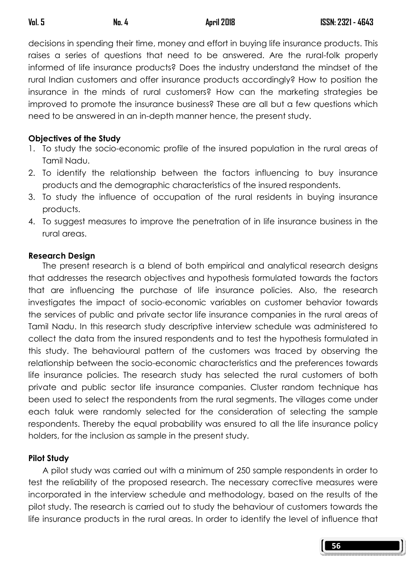decisions in spending their time, money and effort in buying life insurance products. This raises a series of questions that need to be answered. Are the rural-folk properly informed of life insurance products? Does the industry understand the mindset of the rural Indian customers and offer insurance products accordingly? How to position the insurance in the minds of rural customers? How can the marketing strategies be improved to promote the insurance business? These are all but a few questions which need to be answered in an in-depth manner hence, the present study.

#### Objectives of the Study

- 1. To study the socio-economic profile of the insured population in the rural areas of Tamil Nadu.
- 2. To identify the relationship between the factors influencing to buy insurance products and the demographic characteristics of the insured respondents.
- 3. To study the influence of occupation of the rural residents in buying insurance products.
- 4. To suggest measures to improve the penetration of in life insurance business in the rural areas.

#### Research Design

The present research is a blend of both empirical and analytical research designs that addresses the research objectives and hypothesis formulated towards the factors that are influencing the purchase of life insurance policies. Also, the research investigates the impact of socio-economic variables on customer behavior towards the services of public and private sector life insurance companies in the rural areas of Tamil Nadu. In this research study descriptive interview schedule was administered to collect the data from the insured respondents and to test the hypothesis formulated in this study. The behavioural pattern of the customers was traced by observing the relationship between the socio-economic characteristics and the preferences towards life insurance policies. The research study has selected the rural customers of both private and public sector life insurance companies. Cluster random technique has been used to select the respondents from the rural segments. The villages come under each taluk were randomly selected for the consideration of selecting the sample respondents. Thereby the equal probability was ensured to all the life insurance policy holders, for the inclusion as sample in the present study.

# Pilot Study

A pilot study was carried out with a minimum of 250 sample respondents in order to test the reliability of the proposed research. The necessary corrective measures were incorporated in the interview schedule and methodology, based on the results of the pilot study. The research is carried out to study the behaviour of customers towards the life insurance products in the rural areas. In order to identify the level of influence that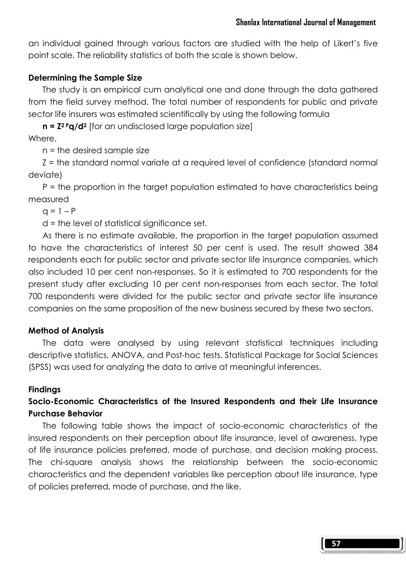an individual gained through various factors are studied with the help of Likert's five point scale. The reliability statistics of both the scale is shown below.

# Determining the Sample Size

The study is an empirical cum analytical one and done through the data gathered from the field survey method. The total number of respondents for public and private sector life insurers was estimated scientifically by using the following formula

 $n = Z^2 \cdot q/d^2$  [for an undisclosed large population size] Where,

n = the desired sample size

 Z = the standard normal variate at a required level of confidence (standard normal deviate)

 P = the proportion in the target population estimated to have characteristics being measured

 $q = 1 - P$ 

d = the level of statistical significance set.

 As there is no estimate available, the proportion in the target population assumed to have the characteristics of interest 50 per cent is used. The result showed 384 respondents each for public sector and private sector life insurance companies, which also included 10 per cent non-responses. So it is estimated to 700 respondents for the present study after excluding 10 per cent non-responses from each sector. The total 700 respondents were divided for the public sector and private sector life insurance companies on the same proposition of the new business secured by these two sectors.

# Method of Analysis

The data were analysed by using relevant statistical techniques including descriptive statistics, ANOVA, and Post-hoc tests. Statistical Package for Social Sciences (SPSS) was used for analyzing the data to arrive at meaningful inferences.

# Findings

# Socio-Economic Characteristics of the Insured Respondents and their Life Insurance Purchase Behavior

 The following table shows the impact of socio-economic characteristics of the insured respondents on their perception about life insurance, level of awareness, type of life insurance policies preferred, mode of purchase, and decision making process. The chi-square analysis shows the relationship between the socio-economic characteristics and the dependent variables like perception about life insurance, type of policies preferred, mode of purchase, and the like.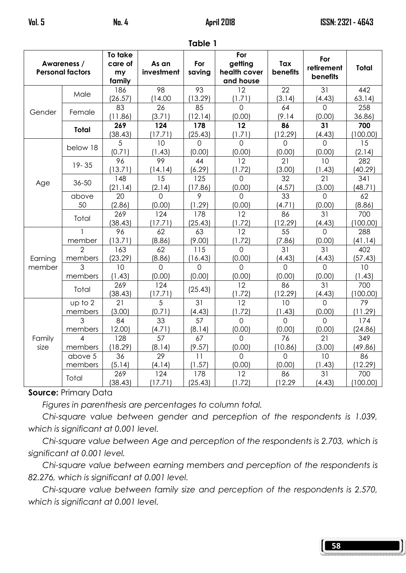| <b>INNIC I</b>                         |                           |                                    |                           |                          |                                             |                           |                                      |                 |
|----------------------------------------|---------------------------|------------------------------------|---------------------------|--------------------------|---------------------------------------------|---------------------------|--------------------------------------|-----------------|
| Awareness /<br><b>Personal factors</b> |                           | To take<br>care of<br>my<br>family | As an<br>investment       | For<br>saving            | For<br>getting<br>health cover<br>and house | Tax<br><b>benefits</b>    | For<br>retirement<br><b>benefits</b> | Total           |
|                                        | Male                      | 186<br>(26.57)                     | 98<br>(14.00)             | 93<br>13.29              | 12<br>(1.71)                                | 22<br>(3.14)              | 31<br>(4.43)                         | 442<br>63.14    |
| Gender                                 | Female                    | 83<br>(11.86)                      | 26<br>(3.71)              | 85<br>12.14)             | 0<br>(0.00)                                 | 64<br>(9.14)              | $\Omega$<br>(0.00)                   | 258<br>36.86)   |
|                                        | Total                     | 269<br>(38.43)                     | 124<br>(17.71)            | 178<br>(25.43)           | 12<br>(1.71)                                | 86<br>(12.29)             | 31<br>(4.43)                         | 700<br>(100.00) |
|                                        | below 18                  | 5<br>(0.71)                        | 10<br>(1.43)              | $\overline{0}$<br>(0.00) | $\overline{0}$<br>(0.00)                    | $\overline{0}$<br>(0.00)  | $\overline{0}$<br>(0.00)             | 15<br>(2.14)    |
|                                        | $19 - 35$                 | 96<br>(13.71)                      | 99<br>(14.14)             | 44<br>(6.29)             | 12<br>(1.72)                                | 21<br>(3.00)              | 10<br>(1.43)                         | 282<br>(40.29)  |
| Age                                    | 36-50                     | 148<br>(21.14)                     | 15<br>(2.14)              | 125<br>(17.86)           | $\Omega$<br>(0.00)                          | 32<br>(4.57)              | 21<br>(3.00)                         | 341<br>(48.71)  |
|                                        | above<br>50               | 20<br>(2.86)                       | $\Omega$<br>(0.00)        | 9<br>(1.29)              | $\Omega$<br>(0.00)                          | 33<br>(4.71)              | $\Omega$<br>(0.00)                   | 62<br>(8.86)    |
|                                        | Total                     | 269<br>(38.43)                     | 124<br>(17.71)            | 178<br>(25.43)           | 12<br>(1.72)                                | 86<br>(12.29)             | 31<br>(4.43)                         | 700<br>(100.00) |
|                                        | member                    | 96<br>(13.71)                      | 62<br>(8.86)              | 63<br>(9.00)             | $\overline{12}$<br>(1.72)                   | $\overline{55}$<br>(7.86) | $\Omega$<br>(0.00)                   | 288<br>(41.14)  |
| Earning                                | $\overline{2}$<br>members | 163<br>(23.29)                     | 62<br>(8.86)              | 115<br>(16.43)           | $\Omega$<br>(0.00)                          | 31<br>(4.43)              | 31<br>(4.43)                         | 402<br>(57.43)  |
| member                                 | $\overline{3}$<br>members | 10<br>(1.43)                       | $\Omega$<br>(0.00)        | $\Omega$<br>(0.00)       | $\Omega$<br>(0.00)                          | $\Omega$<br>(0.00)        | $\Omega$<br>(0.00)                   | 10<br>(1.43)    |
|                                        | Total                     | 269<br>(38.43)                     | 124<br>(17.71)            | (25.43)                  | 12<br>(1.72)                                | 86<br>(12.29)             | 31<br>(4.43)                         | 700<br>(100.00) |
|                                        | up to 2<br>members        | 21<br>(3.00)                       | $\overline{5}$<br>(0.71)  | 31<br>(4.43)             | $\overline{12}$<br>(1.72)                   | 10<br>(1.43)              | $\Omega$<br>(0.00)                   | 79<br>(11.29)   |
|                                        | 3<br>members              | 84<br>12.00)                       | 33<br>(4.71)              | 57<br>(8.14)             | $\overline{0}$<br>(0.00)                    | $\Omega$<br>(0.00)        | $\Omega$<br>(0.00)                   | 174<br>(24.86)  |
| Family<br>size                         | $\overline{4}$<br>members | 128<br>18.29                       | $\overline{57}$<br>(8.14) | 67<br>(9.57)             | $\overline{0}$<br>(0.00)                    | 76<br>(10.86)             | 21<br>(3.00)                         | 349<br>(49.86)  |
|                                        | above 5<br>members        | 36<br>(5.14)                       | 29<br>(4.14)              | 11<br>(1.57)             | $\mathbf 0$<br>(0.00)                       | $\Omega$<br>(0.00)        | 10<br>(1.43)                         | 86<br>(12.29)   |
|                                        | Total                     | 269<br>(38.43)                     | 124<br>(17.71)            | 178<br>(25.43)           | 12<br>(1.72)                                | 86<br>(12.29)             | 31<br>(4.43)                         | 700<br>(100.00) |

#### Table 1

# Source: Primary Data

Figures in parenthesis are percentages to column total.

Chi-square value between gender and perception of the respondents is 1.039, which is significant at 0.001 level.

 Chi-square value between Age and perception of the respondents is 2.703, which is significant at 0.001 level.

 Chi-square value between earning members and perception of the respondents is 82.276, which is significant at 0.001 level.

 Chi-square value between family size and perception of the respondents is 2.570, which is significant at 0.001 level.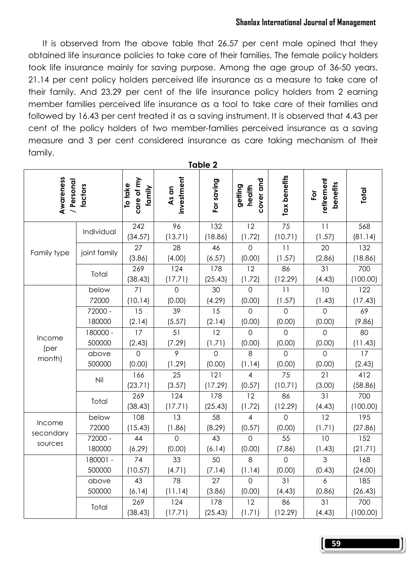#### Shanlax International Journal of Management

It is observed from the above table that 26.57 per cent male opined that they obtained life insurance policies to take care of their families. The female policy holders took life insurance mainly for saving purpose. Among the age group of 36-50 years, 21.14 per cent policy holders perceived life insurance as a measure to take care of their family. And 23.29 per cent of the life insurance policy holders from 2 earning member families perceived life insurance as a tool to take care of their families and followed by 16.43 per cent treated it as a saving instrument. It is observed that 4.43 per cent of the policy holders of two member-families perceived insurance as a saving measure and 3 per cent considered insurance as care taking mechanism of their family.

| Table 2                            |              |                                 |                     |                |                                |                            |                                                  |                 |
|------------------------------------|--------------|---------------------------------|---------------------|----------------|--------------------------------|----------------------------|--------------------------------------------------|-----------------|
| Awareness<br>/ Personal<br>factors |              | care of my<br>To take<br>family | investment<br>As an | For saving     | cover and<br>getting<br>health | Tax benefits               | retirement<br>benefits<br>$\overline{\tilde{Q}}$ | Total           |
|                                    | Individual   | 242<br>(34.57)                  | 96<br>(13.71)       | 132<br>(18.86) | 12<br>(1.72)                   | $\overline{75}$<br>(10.71) | 11<br>(1.57)                                     | 568<br>(81.14)  |
| Family type                        | joint family | 27<br>(3.86)                    | 28<br>(4.00)        | 46<br>(6.57)   | $\overline{O}$<br>(0.00)       | 11<br>(1.57)               | 20<br>(2.86)                                     | 132<br>(18.86)  |
|                                    | Total        | 269<br>(38.43)                  | 124<br>(17.71)      | 178<br>(25.43) | 12<br>(1.72)                   | 86<br>(12.29)              | 31<br>(4.43)                                     | 700<br>(100.00) |
|                                    | below        | $\overline{71}$                 | $\overline{O}$      | 30             | $\overline{O}$                 | $\overline{11}$            | $\overline{10}$                                  | 122             |
|                                    | 72000        | (10.14)                         | (0.00)              | (4.29)         | (0.00)                         | (1.57)                     | (1.43)                                           | (17.43)         |
|                                    | 72000 -      | 15                              | 39                  | 15             | $\Omega$                       | $\Omega$                   | $\Omega$                                         | 69              |
|                                    | 180000       | (2.14)                          | (5.57)              | (2.14)         | (0.00)                         | (0.00)                     | (0.00)                                           | (9.86)          |
| Income                             | 180000 -     | 17                              | 51                  | 12             | $\overline{0}$                 | $\overline{O}$             | $\Omega$                                         | 80              |
|                                    | 500000       | (2.43)                          | (7.29)              | (1.71)         | (0.00)                         | (0.00)                     | (0.00)                                           | (11.43)         |
| (per                               | above        | $\overline{O}$                  | $\overline{9}$      | $\mathbf 0$    | 8                              | $\overline{O}$             | $\mathbf 0$                                      | 17              |
| month)                             | 500000       | (0.00)                          | (1.29)              | (0.00)         | (1.14)                         | (0.00)                     | (0.00)                                           | (2.43)          |
|                                    | Nil          | 166<br>(23.71)                  | 25<br>(3.57)        | 121<br>(17.29) | 4<br>(0.57)                    | 75<br>(10.71)              | 21<br>(3.00)                                     | 412<br>(58.86)  |
|                                    | Total        | 269<br>(38.43)                  | 124<br>(17.71)      | 178<br>(25.43) | 12<br>(1.72)                   | 86<br>(12.29)              | 31<br>(4.43)                                     | 700<br>(100.00) |
| Income                             | below        | 108                             | 13                  | 58             | $\overline{4}$                 | $\Omega$                   | 12                                               | 195             |
| secondary                          | 72000        | (15.43)                         | (1.86)              | (8.29)         | (0.57)                         | (0.00)                     | (1.71)                                           | (27.86)         |
| sources                            | 72000 -      | 44                              | $\overline{0}$      | 43             | $\overline{0}$                 | 55                         | 10                                               | 152             |
|                                    | 180000       | (6.29)                          | (0.00)              | (6.14)         | (0.00)                         | (7.86)                     | (1.43)                                           | (21.71)         |
|                                    | 180001 -     | 74                              | 33                  | 50             | 8                              | $\overline{O}$             | $\overline{3}$                                   | 168             |
|                                    | 500000       | (10.57)                         | (4.71)              | (7.14)         | (1.14)                         | (0.00)                     | (0.43)                                           | (24.00)         |
|                                    | above        | 43                              | $\overline{78}$     | 27             | $\Omega$                       | 31                         | 6                                                | 185             |
|                                    | 500000       | (6.14)                          | (11.14)             | (3.86)         | (0.00)                         | (4.43)                     | (0.86)                                           | (26.43)         |
|                                    | Total        | 269<br>(38.43)                  | 124<br>(17.71)      | 178<br>(25.43) | 12<br>(1.71)                   | 86<br>(12.29)              | 31<br>(4.43)                                     | 700<br>(100.00) |

59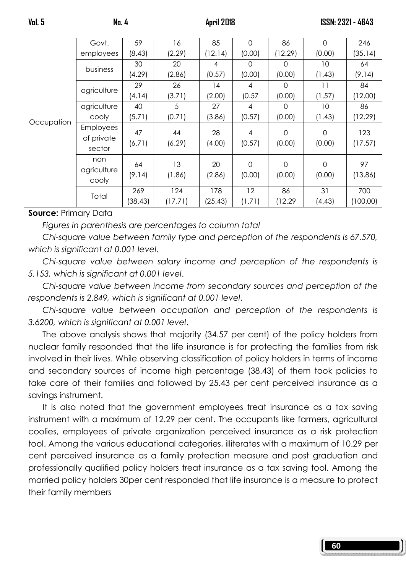60

|            | Govt.                                    | 59             | 16             | 85             | 0            | 86                 | $\Omega$           | 246             |
|------------|------------------------------------------|----------------|----------------|----------------|--------------|--------------------|--------------------|-----------------|
|            | employees                                | (8.43)         | (2.29)         | (12.14)        | (0.00)       | (12.29)            | (0.00)             | (35.14)         |
|            |                                          | 30             | 20             | 4              | 0            | $\Omega$           | 10                 | 64              |
|            | business                                 | (4.29)         | (2.86)         | (0.57)         | (0.00)       | (0.00)             | (1.43)             | (9.14)          |
|            |                                          | 29             | 26             | 14             | 4            | $\Omega$           | 11                 | 84              |
|            | agriculture                              | (4.14)         | (3.71)         | (2.00)         | (0.57)       | (0.00)             | (1.57)             | (12.00)         |
|            | agriculture                              | 40             | 5              | 27             | 4            | $\Omega$           | 10                 | 86              |
| Occupation | cooly                                    | (5.71)         | (0.71)         | (3.86)         | (0.57)       | (0.00)             | (1.43)             | (12.29)         |
|            | <b>Employees</b><br>of private<br>sector | 47<br>(6.71)   | 44<br>(6.29)   | 28<br>(4.00)   | 4<br>(0.57)  | $\Omega$<br>(0.00) | $\Omega$<br>(0.00) | 123<br>(17.57)  |
|            | non<br>agriculture<br>cooly              | 64<br>(9.14)   | 13<br>(1.86)   | 20<br>(2.86)   | 0<br>(0.00)  | $\Omega$<br>(0.00) | $\Omega$<br>(0.00) | 97<br>(13.86)   |
|            | Total                                    | 269<br>(38.43) | 124<br>(17.71) | 178<br>(25.43) | 12<br>(1.71) | 86<br>(12.29)      | 31<br>(4.43)       | 700<br>(100.00) |

#### Source: Primary Data

Figures in parenthesis are percentages to column total

Chi-square value between family type and perception of the respondents is 67.570, which is significant at 0.001 level.

Chi-square value between salary income and perception of the respondents is 5.153, which is significant at 0.001 level.

Chi-square value between income from secondary sources and perception of the respondents is 2.849, which is significant at 0.001 level.

Chi-square value between occupation and perception of the respondents is 3.6200, which is significant at 0.001 level.

 The above analysis shows that majority (34.57 per cent) of the policy holders from nuclear family responded that the life insurance is for protecting the families from risk involved in their lives. While observing classification of policy holders in terms of income and secondary sources of income high percentage (38.43) of them took policies to take care of their families and followed by 25.43 per cent perceived insurance as a savings instrument.

 It is also noted that the government employees treat insurance as a tax saving instrument with a maximum of 12.29 per cent. The occupants like farmers, agricultural coolies, employees of private organization perceived insurance as a risk protection tool. Among the various educational categories, illiterates with a maximum of 10.29 per cent perceived insurance as a family protection measure and post graduation and professionally qualified policy holders treat insurance as a tax saving tool. Among the married policy holders 30per cent responded that life insurance is a measure to protect their family members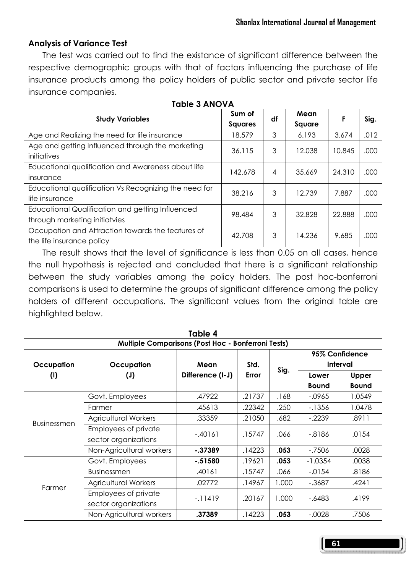#### Analysis of Variance Test

 The test was carried out to find the existance of significant difference between the respective demographic groups with that of factors influencing the purchase of life insurance products among the policy holders of public sector and private sector life insurance companies.

| <b>Study Variables</b>                                                            | Sum of<br><b>Squares</b> | df | Mean<br>Square | F      | Sig. |
|-----------------------------------------------------------------------------------|--------------------------|----|----------------|--------|------|
| Age and Realizing the need for life insurance                                     | 18.579                   | 3  | 6.193          | 3.674  | .012 |
| Age and getting Influenced through the marketing<br>initiatives                   | 36.115                   | 3  | 12.038         | 10.845 | .000 |
| Educational qualification and Awareness about life<br>insurance                   | 142.678                  | 4  | 35.669         | 24.310 | .000 |
| Educational qualification Vs Recognizing the need for<br>life insurance           | 38.216                   | 3  | 12.739         | 7.887  | .000 |
| Educational Qualification and getting Influenced<br>through marketing initiatvies | 98.484                   | 3  | 32.828         | 22.888 | .000 |
| Occupation and Attraction towards the features of<br>the life insurance policy    | 42.708                   | 3  | 14.236         | 9.685  | .000 |

 The result shows that the level of significance is less than 0.05 on all cases, hence the null hypothesis is rejected and concluded that there is a significant relationship between the study variables among the policy holders. The post hoc-bonferroni comparisons is used to determine the groups of significant difference among the policy holders of different occupations. The significant values from the original table are highlighted below.

| <b>Multiple Comparisons (Post Hoc - Bonferroni Tests)</b> |                             |                          |               |       |                            |              |  |  |
|-----------------------------------------------------------|-----------------------------|--------------------------|---------------|-------|----------------------------|--------------|--|--|
|                                                           |                             | Mean<br>Difference (I-J) | Std.<br>Error | Sig.  | 95% Confidence<br>Interval |              |  |  |
| Occupation                                                | Occupation                  |                          |               |       |                            |              |  |  |
| (1)                                                       | $(\mathsf{U})$              |                          |               |       | Lower                      | <b>Upper</b> |  |  |
|                                                           |                             |                          |               |       | <b>Bound</b>               | <b>Bound</b> |  |  |
|                                                           | Govt. Employees             | .47922                   | .21737        | .168  | $-0.0965$                  | 1.0549       |  |  |
|                                                           | Farmer                      | .45613                   | .22342        | .250  | $-1356$                    | 1.0478       |  |  |
| <b>Businessmen</b>                                        | <b>Agricultural Workers</b> | .33359                   | .21050        | .682  | $-2239$                    | .8911        |  |  |
|                                                           | Employees of private        | $-.40161$                | .15747        | .066  | $-0.8186$                  | .0154        |  |  |
|                                                           | sector organizations        |                          |               |       |                            |              |  |  |
|                                                           | Non-Agricultural workers    | $-0.37389$               | .14223        | .053  | $-7506$                    | .0028        |  |  |
|                                                           | Govt. Employees             | $-.51580$                | .19621        | .053  | $-1.0354$                  | .0038        |  |  |
|                                                           | <b>Businessmen</b>          | .40161                   | .15747        | .066  | $-.0154$                   | .8186        |  |  |
| Farmer                                                    | <b>Agricultural Workers</b> | .02772                   | .14967        | 1.000 | $-0.3687$                  | .4241        |  |  |
|                                                           | Employees of private        | $-11419$                 | .20167        | 1.000 | -.6483                     | .4199        |  |  |
|                                                           | sector organizations        |                          |               |       |                            |              |  |  |
|                                                           | Non-Agricultural workers    | .37389                   | .14223        | .053  | $-.0028$                   | .7506        |  |  |

#### Table 3 ANOVA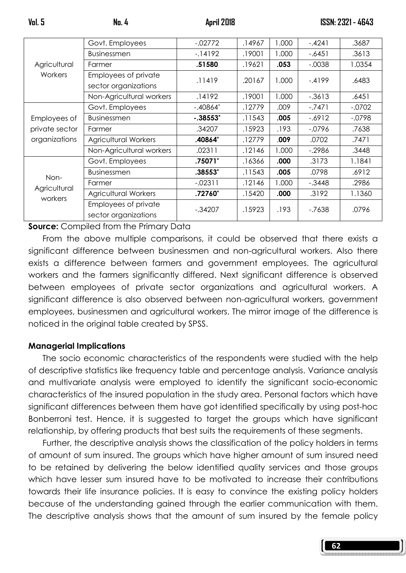|                | Govt. Employees          | $-02772$   | .14967 | 1.000 | $-.4241$  | .3687    |
|----------------|--------------------------|------------|--------|-------|-----------|----------|
|                | <b>Businessmen</b>       | $-14192$   | .19001 | 1.000 | $-.6451$  | .3613    |
| Agricultural   | Farmer                   | .51580     | .19621 | .053  | $-0.0038$ | 1.0354   |
| Workers        | Employees of private     | .11419     | .20167 | 1.000 | $-4199$   | .6483    |
|                | sector organizations     |            |        |       |           |          |
|                | Non-Agricultural workers | .14192     | .19001 | 1.000 | $-0.3613$ | .6451    |
|                | Govt. Employees          | $-.40864*$ | .12779 | .009  | $-.7471$  | $-.0702$ |
| Employees of   | <b>Businessmen</b>       | $-.38553*$ | .11543 | .005  | $-6912$   | $-0798$  |
| private sector | Farmer                   | .34207     | .15923 | .193  | $-0796$   | .7638    |
| organizations  | Agricultural Workers     | .40864*    | .12779 | .009  | .0702     | .7471    |
|                | Non-Agricultural workers | .02311     | .12146 | 1.000 | $-2986$   | .3448    |
|                | Govt. Employees          | .75071*    | .16366 | .000  | .3173     | 1.1841   |
| Non-           | <b>Businessmen</b>       | $.38553*$  | .11543 | .005  | .0798     | .6912    |
| Agricultural   | Farmer                   | $-02311$   | .12146 | 1.000 | $-.3448$  | .2986    |
| workers        | Agricultural Workers     | .72760*    | .15420 | .000  | .3192     | 1.1360   |
|                | Employees of private     | $-.34207$  | .15923 | .193  | $-7638$   | .0796    |
|                | sector organizations     |            |        |       |           |          |

Source: Compiled from the Primary Data

From the above multiple comparisons, it could be observed that there exists a significant difference between businessmen and non-agricultural workers. Also there exists a difference between farmers and government employees. The agricultural workers and the farmers significantly differed. Next significant difference is observed between employees of private sector organizations and agricultural workers. A significant difference is also observed between non-agricultural workers, government employees, businessmen and agricultural workers. The mirror image of the difference is noticed in the original table created by SPSS.

#### Managerial Implications

 The socio economic characteristics of the respondents were studied with the help of descriptive statistics like frequency table and percentage analysis. Variance analysis and multivariate analysis were employed to identify the significant socio-economic characteristics of the insured population in the study area. Personal factors which have significant differences between them have got identified specifically by using post-hoc Bonberroni test. Hence, it is suggested to target the groups which have significant relationship, by offering products that best suits the requirements of these segments.

 Further, the descriptive analysis shows the classification of the policy holders in terms of amount of sum insured. The groups which have higher amount of sum insured need to be retained by delivering the below identified quality services and those groups which have lesser sum insured have to be motivated to increase their contributions towards their life insurance policies. It is easy to convince the existing policy holders because of the understanding gained through the earlier communication with them. The descriptive analysis shows that the amount of sum insured by the female policy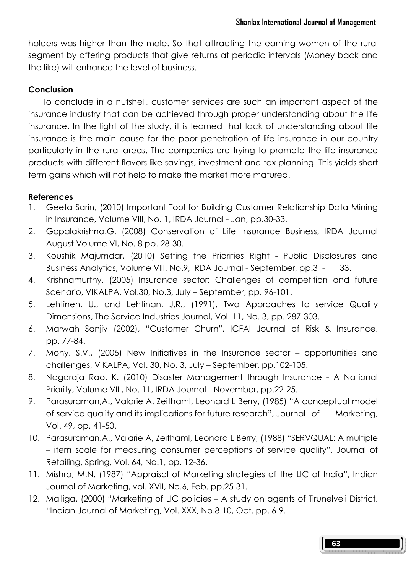holders was higher than the male. So that attracting the earning women of the rural segment by offering products that give returns at periodic intervals (Money back and the like) will enhance the level of business.

#### **Conclusion**

To conclude in a nutshell, customer services are such an important aspect of the insurance industry that can be achieved through proper understanding about the life insurance. In the light of the study, it is learned that lack of understanding about life insurance is the main cause for the poor penetration of life insurance in our country particularly in the rural areas. The companies are trying to promote the life insurance products with different flavors like savings, investment and tax planning. This yields short term gains which will not help to make the market more matured.

#### References

- 1. Geeta Sarin, (2010) Important Tool for Building Customer Relationship Data Mining in Insurance, Volume VIII, No. 1, IRDA Journal - Jan, pp.30-33.
- 2. Gopalakrishna.G. (2008) Conservation of Life Insurance Business, IRDA Journal August Volume VI, No. 8 pp. 28-30.
- 3. Koushik Majumdar, (2010) Setting the Priorities Right Public Disclosures and Business Analytics, Volume VIII, No.9, IRDA Journal - September, pp.31- 33.
- 4. Krishnamurthy, (2005) Insurance sector: Challenges of competition and future Scenario, VIKALPA, Vol.30, No.3, July – September, pp. 96-101.
- 5. Lehtinen, U., and Lehtinan, J.R., (1991). Two Approaches to service Quality Dimensions, The Service Industries Journal, Vol. 11, No. 3, pp. 287-303.
- 6. Marwah Sanjiv (2002), "Customer Churn", ICFAI Journal of Risk & Insurance, pp. 77-84.
- 7. Mony. S.V., (2005) New Initiatives in the Insurance sector opportunities and challenges, VIKALPA, Vol. 30, No. 3, July – September, pp.102-105.
- 8. Nagaraja Rao, K. (2010) Disaster Management through Insurance A National Priority, Volume VIII, No. 11, IRDA Journal - November, pp.22-25.
- 9. Parasuraman,A., Valarie A. Zeithaml, Leonard L Berry, (1985) "A conceptual model of service quality and its implications for future research", Journal of Marketing, Vol. 49, pp. 41-50.
- 10. Parasuraman.A., Valarie A, Zeithaml, Leonard L Berry, (1988) "SERVQUAL: A multiple – item scale for measuring consumer perceptions of service quality", Journal of Retailing, Spring, Vol. 64, No.1, pp. 12-36.
- 11. Mishra, M.N, (1987) "Appraisal of Marketing strategies of the LIC of India", Indian Journal of Marketing, vol. XVII, No.6, Feb. pp.25-31.
- 12. Malliga, (2000) "Marketing of LIC policies A study on agents of Tirunelveli District, "Indian Journal of Marketing, Vol. XXX, No.8-10, Oct. pp. 6-9.